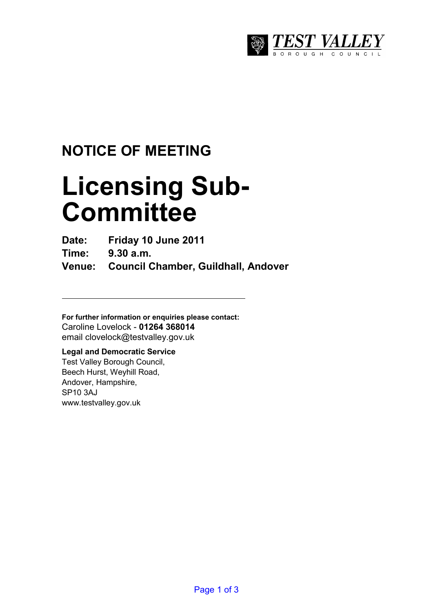

## **NOTICE OF MEETING**

# **Licensing Sub-Committee**

**Date: Friday 10 June 2011** 

**Time: 9.30 a.m.** 

**Venue: Council Chamber, Guildhall, Andover** 

**For further information or enquiries please contact:**  Caroline Lovelock - **01264 368014** email clovelock@testvalley.gov.uk

### **Legal and Democratic Service**

Test Valley Borough Council, Beech Hurst, Weyhill Road, Andover, Hampshire, SP10 3AJ www.testvalley.gov.uk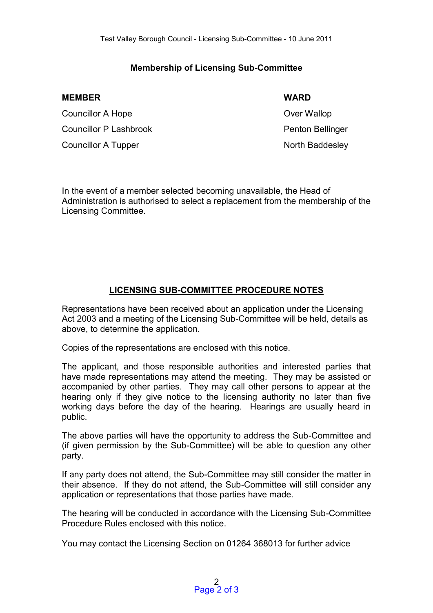#### **Membership of Licensing Sub-Committee**

| <b>WARD</b>      |
|------------------|
| Over Wallop      |
| Penton Bellinger |
| North Baddesley  |
|                  |

In the event of a member selected becoming unavailable, the Head of Administration is authorised to select a replacement from the membership of the Licensing Committee.

#### **LICENSING SUB-COMMITTEE PROCEDURE NOTES**

Representations have been received about an application under the Licensing Act 2003 and a meeting of the Licensing Sub-Committee will be held, details as above, to determine the application.

Copies of the representations are enclosed with this notice.

The applicant, and those responsible authorities and interested parties that have made representations may attend the meeting. They may be assisted or accompanied by other parties. They may call other persons to appear at the hearing only if they give notice to the licensing authority no later than five working days before the day of the hearing. Hearings are usually heard in public.

The above parties will have the opportunity to address the Sub-Committee and (if given permission by the Sub-Committee) will be able to question any other party.

If any party does not attend, the Sub-Committee may still consider the matter in their absence. If they do not attend, the Sub-Committee will still consider any application or representations that those parties have made.

The hearing will be conducted in accordance with the Licensing Sub-Committee Procedure Rules enclosed with this notice.

You may contact the Licensing Section on 01264 368013 for further advice